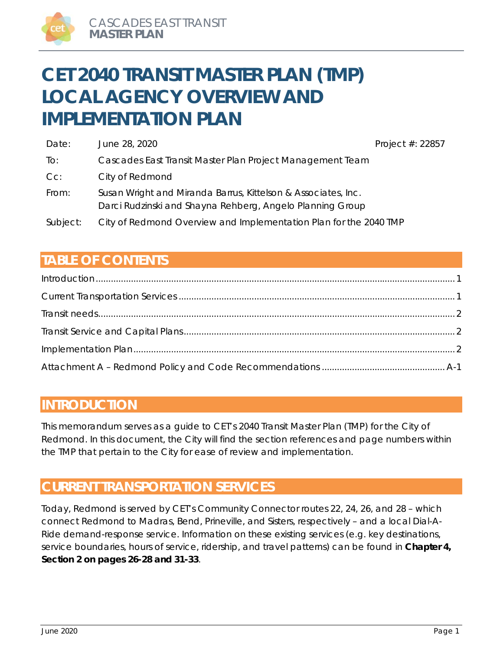# **CET 2040 TRANSIT MASTER PLAN (TMP) LOCAL AGENCY OVERVIEW AND IMPLEMENTATION PLAN**

| Date:    | June 28, 2020                                                                                                              | Project $#: 22857$ |
|----------|----------------------------------------------------------------------------------------------------------------------------|--------------------|
| To:      | Cascades East Transit Master Plan Project Management Team                                                                  |                    |
| $Cc$ :   | City of Redmond                                                                                                            |                    |
| From:    | Susan Wright and Miranda Barrus, Kittelson & Associates, Inc.<br>Darci Rudzinski and Shayna Rehberg, Angelo Planning Group |                    |
| Subject: | City of Redmond Overview and Implementation Plan for the 2040 TMP                                                          |                    |

# **TABLE OF CONTENTS**

# **INTRODUCTION**

This memorandum serves as a guide to CET's 2040 Transit Master Plan (TMP) for the City of Redmond. In this document, the City will find the section references and page numbers within the TMP that pertain to the City for ease of review and implementation.

# **CURRENT TRANSPORTATION SERVICES**

Today, Redmond is served by CET's Community Connector routes 22, 24, 26, and 28 – which connect Redmond to Madras, Bend, Prineville, and Sisters, respectively – and a local Dial-A-Ride demand-response service. Information on these existing services (e.g. key destinations, service boundaries, hours of service, ridership, and travel patterns) can be found in **Chapter 4, Section 2 on pages 26-28 and 31-33**.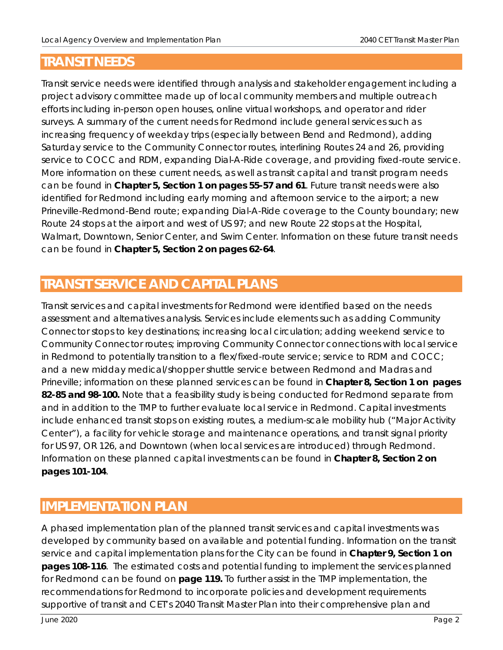# **TRANSIT NEEDS**

Transit service needs were identified through analysis and stakeholder engagement including a project advisory committee made up of local community members and multiple outreach efforts including in-person open houses, online virtual workshops, and operator and rider surveys. A summary of the current needs for Redmond include general services such as increasing frequency of weekday trips (especially between Bend and Redmond), adding Saturday service to the Community Connector routes, interlining Routes 24 and 26, providing service to COCC and RDM, expanding Dial-A-Ride coverage, and providing fixed-route service. More information on these current needs, as well as transit capital and transit program needs can be found in **Chapter 5, Section 1 on pages 55-57 and 61**. Future transit needs were also identified for Redmond including early morning and afternoon service to the airport; a new Prineville-Redmond-Bend route; expanding Dial-A-Ride coverage to the County boundary; new Route 24 stops at the airport and west of US 97; and new Route 22 stops at the Hospital, Walmart, Downtown, Senior Center, and Swim Center. Information on these future transit needs can be found in **Chapter 5, Section 2 on pages 62-64**.

# **TRANSIT SERVICE AND CAPITAL PLANS**

Transit services and capital investments for Redmond were identified based on the needs assessment and alternatives analysis. Services include elements such as adding Community Connector stops to key destinations; increasing local circulation; adding weekend service to Community Connector routes; improving Community Connector connections with local service in Redmond to potentially transition to a flex/fixed-route service; service to RDM and COCC; and a new midday medical/shopper shuttle service between Redmond and Madras and Prineville; information on these planned services can be found in **Chapter 8, Section 1 on pages 82-85 and 98-100.** Note that a feasibility study is being conducted for Redmond separate from and in addition to the TMP to further evaluate local service in Redmond. Capital investments include enhanced transit stops on existing routes, a medium-scale mobility hub ("Major Activity Center"), a facility for vehicle storage and maintenance operations, and transit signal priority for US 97, OR 126, and Downtown (when local services are introduced) through Redmond. Information on these planned capital investments can be found in **Chapter 8, Section 2 on pages 101-104**.

# **IMPLEMENTATION PLAN**

A phased implementation plan of the planned transit services and capital investments was developed by community based on available and potential funding. Information on the transit service and capital implementation plans for the City can be found in **Chapter 9, Section 1 on pages 108-116**. The estimated costs and potential funding to implement the services planned for Redmond can be found on **page 119.** To further assist in the TMP implementation, the recommendations for Redmond to incorporate policies and development requirements supportive of transit and CET's 2040 Transit Master Plan into their comprehensive plan and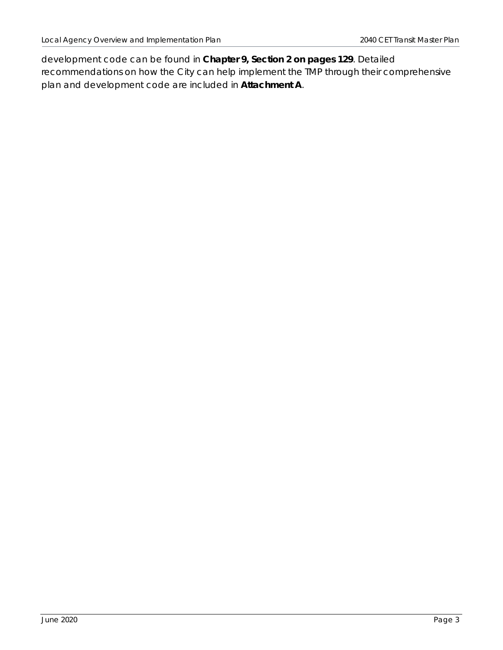development code can be found in **Chapter 9, Section 2 on pages 129**. Detailed recommendations on how the City can help implement the TMP through their comprehensive plan and development code are included in **Attachment A**.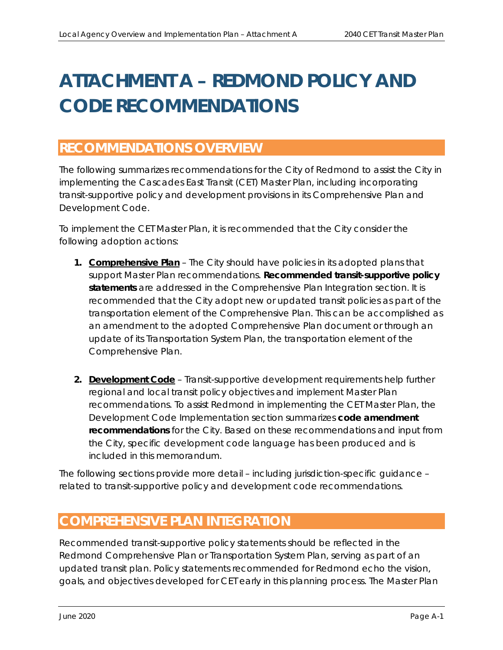# **ATTACHMENT A – REDMOND POLICY AND CODE RECOMMENDATIONS**

# **RECOMMENDATIONS OVERVIEW**

The following summarizes recommendations for the City of Redmond to assist the City in implementing the Cascades East Transit (CET) Master Plan, including incorporating transit-supportive policy and development provisions in its Comprehensive Plan and Development Code.

To implement the CET Master Plan, it is recommended that the City consider the following adoption actions:

- **1. Comprehensive Plan**  The City should have policies in its adopted plans that support Master Plan recommendations. **Recommended transit-supportive policy statements** are addressed in the *Comprehensive Plan Integration* section. It is recommended that the City adopt new or updated transit policies as part of the transportation element of the Comprehensive Plan. This can be accomplished as an amendment to the adopted Comprehensive Plan document or through an update of its Transportation System Plan, the transportation element of the Comprehensive Plan.
- **2. Development Code** Transit-supportive development requirements help further regional and local transit policy objectives and implement Master Plan recommendations. To assist Redmond in implementing the CET Master Plan, the *Development Code Implementation* section summarizes **code amendment recommendations** for the City. Based on these recommendations and input from the City, specific development code language has been produced and is included in this memorandum.

The following sections provide more detail – including jurisdiction-specific guidance – related to transit-supportive policy and development code recommendations.

# **COMPREHENSIVE PLAN INTEGRATION**

Recommended transit-supportive policy statements should be reflected in the Redmond Comprehensive Plan or Transportation System Plan, serving as part of an updated transit plan. Policy statements recommended for Redmond echo the vision, goals, and objectives developed for CET early in this planning process. The Master Plan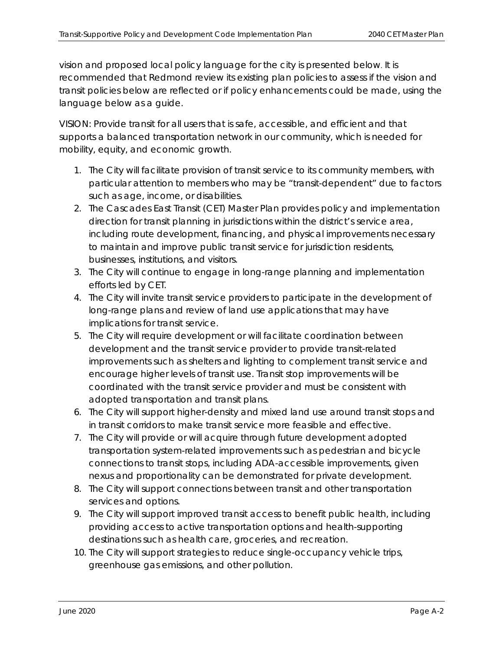vision and proposed local policy language for the city is presented below. It is recommended that Redmond review its existing plan policies to assess if the vision and transit policies below are reflected or if policy enhancements could be made, using the language below as a guide.

VISION: Provide transit for all users that is safe, accessible, and efficient and that supports a balanced transportation network in our community, which is needed for mobility, equity, and economic growth.

- *1. The City will facilitate provision of transit service to its community members, with particular attention to members who may be "transit-dependent" due to factors such as age, income, or disabilities.*
- *2. The Cascades East Transit (CET) Master Plan provides policy and implementation direction for transit planning in jurisdictions within the district's service area, including route development, financing, and physical improvements necessary to maintain and improve public transit service for jurisdiction residents, businesses, institutions, and visitors.*
- *3. The City will continue to engage in long-range planning and implementation efforts led by CET.*
- *4. The City will invite transit service providers to participate in the development of long-range plans and review of land use applications that may have implications for transit service.*
- *5. The City will require development or will facilitate coordination between development and the transit service provider to provide transit-related improvements such as shelters and lighting to complement transit service and encourage higher levels of transit use. Transit stop improvements will be coordinated with the transit service provider and must be consistent with adopted transportation and transit plans.*
- *6. The City will support higher-density and mixed land use around transit stops and in transit corridors to make transit service more feasible and effective.*
- *7. The City will provide or will acquire through future development adopted transportation system-related improvements such as pedestrian and bicycle connections to transit stops, including ADA-accessible improvements, given nexus and proportionality can be demonstrated for private development.*
- *8. The City will support connections between transit and other transportation services and options.*
- *9. The City will support improved transit access to benefit public health, including providing access to active transportation options and health-supporting destinations such as health care, groceries, and recreation.*
- *10. The City will support strategies to reduce single-occupancy vehicle trips, greenhouse gas emissions, and other pollution.*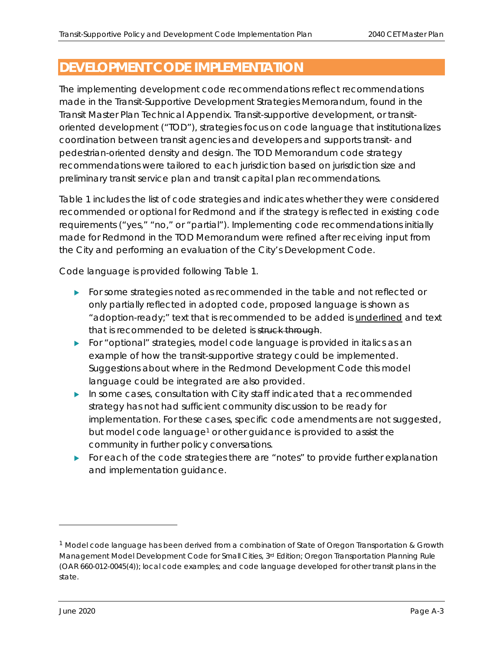# **DEVELOPMENT CODE IMPLEMENTATION**

The implementing development code recommendations reflect recommendations made in the Transit-Supportive Development Strategies Memorandum, found in the Transit Master Plan Technical Appendix. Transit-supportive development, or transitoriented development ("TOD"), strategies focus on code language that institutionalizes coordination between transit agencies and developers and supports transit- and pedestrian-oriented density and design. The TOD Memorandum code strategy recommendations were tailored to each jurisdiction based on jurisdiction size and preliminary transit service plan and transit capital plan recommendations.

Table 1 includes the list of code strategies and indicates whether they were considered recommended or optional for Redmond and if the strategy is reflected in existing code requirements ("yes," "no," or "partial"). Implementing code recommendations initially made for Redmond in the TOD Memorandum were refined after receiving input from the City and performing an evaluation of the City's Development Code.

Code language is provided following Table 1.

- For some strategies noted as recommended in the table and not reflected or only partially reflected in adopted code, proposed language is shown as "adoption-ready;" text that is recommended to be added is underlined and text that is recommended to be deleted is struck through.
- For "optional" strategies, model code language is provided in *italics* as an example of how the transit-supportive strategy could be implemented. Suggestions about where in the Redmond Development Code this model language could be integrated are also provided.
- In some cases, consultation with City staff indicated that a recommended strategy has not had sufficient community discussion to be ready for implementation. For these cases, specific code amendments are not suggested, but model code language<sup>1</sup> or other guidance is provided to assist the community in further policy conversations.
- For each of the code strategies there are "notes" to provide further explanation and implementation guidance.

 $1$  Model code language has been derived from a combination of State of Oregon Transportation & Growth Management Model Development Code for Small Cities, 3<sup>rd</sup> Edition; Oregon Transportation Planning Rule (OAR 660-012-0045(4)); local code examples; and code language developed for other transit plans in the state.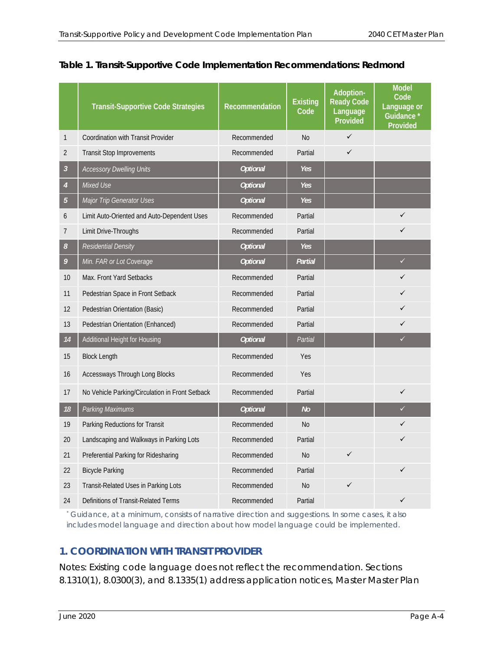|                | <b>Transit-Supportive Code Strategies</b>       | Recommendation  | <b>Existing</b><br>Code | Adoption-<br><b>Ready Code</b><br>Language<br>Provided | <b>Model</b><br>Code<br>Language or<br>Guidance *<br>Provided |
|----------------|-------------------------------------------------|-----------------|-------------------------|--------------------------------------------------------|---------------------------------------------------------------|
| $\mathbf{1}$   | <b>Coordination with Transit Provider</b>       | Recommended     | <b>No</b>               | $\checkmark$                                           |                                                               |
| $\overline{2}$ | <b>Transit Stop Improvements</b>                | Recommended     | Partial                 | $\checkmark$                                           |                                                               |
| $\mathfrak{Z}$ | <b>Accessory Dwelling Units</b>                 | <b>Optional</b> | <b>Yes</b>              |                                                        |                                                               |
| $\overline{4}$ | Mixed Use                                       | <b>Optional</b> | Yes                     |                                                        |                                                               |
| 5              | Major Trip Generator Uses                       | <b>Optional</b> | Yes                     |                                                        |                                                               |
| 6              | Limit Auto-Oriented and Auto-Dependent Uses     | Recommended     | Partial                 |                                                        | ✓                                                             |
| 7              | Limit Drive-Throughs                            | Recommended     | Partial                 |                                                        | $\checkmark$                                                  |
| 8              | <b>Residential Density</b>                      | <b>Optional</b> | <b>Yes</b>              |                                                        |                                                               |
| 9              | Min. FAR or Lot Coverage                        | <b>Optional</b> | Partial                 |                                                        | $\checkmark$                                                  |
| 10             | Max. Front Yard Setbacks                        | Recommended     | Partial                 |                                                        | ✓                                                             |
| 11             | Pedestrian Space in Front Setback               | Recommended     | Partial                 |                                                        | ✓                                                             |
| 12             | Pedestrian Orientation (Basic)                  | Recommended     | Partial                 |                                                        | $\checkmark$                                                  |
| 13             | Pedestrian Orientation (Enhanced)               | Recommended     | Partial                 |                                                        | ✓                                                             |
| 14             | Additional Height for Housing                   | <b>Optional</b> | Partial                 |                                                        | $\checkmark$                                                  |
| 15             | <b>Block Length</b>                             | Recommended     | Yes                     |                                                        |                                                               |
| 16             | <b>Accessways Through Long Blocks</b>           | Recommended     | <b>Yes</b>              |                                                        |                                                               |
| 17             | No Vehicle Parking/Circulation in Front Setback | Recommended     | Partial                 |                                                        | $\checkmark$                                                  |
| 18             | Parking Maximums                                | <b>Optional</b> | No                      |                                                        | $\checkmark$                                                  |
| 19             | Parking Reductions for Transit                  | Recommended     | <b>No</b>               |                                                        | ✓                                                             |
| 20             | Landscaping and Walkways in Parking Lots        | Recommended     | Partial                 |                                                        | ✓                                                             |
| 21             | Preferential Parking for Ridesharing            | Recommended     | N <sub>o</sub>          | $\checkmark$                                           |                                                               |
| 22             | <b>Bicycle Parking</b>                          | Recommended     | Partial                 |                                                        | ✓                                                             |
| 23             | Transit-Related Uses in Parking Lots            | Recommended     | <b>No</b>               | $\checkmark$                                           |                                                               |
| 24             | Definitions of Transit-Related Terms            | Recommended     | Partial                 |                                                        |                                                               |

# **Table 1. Transit-Supportive Code Implementation Recommendations: Redmond**

*\* Guidance, at a minimum, consists of narrative direction and suggestions. In some cases, it also includes model language and direction about how model language could be implemented.*

# **1. COORDINATION WITH TRANSIT PROVIDER**

Notes: Existing code language does not reflect the recommendation. Sections 8.1310(1), 8.0300(3), and 8.1335(1) address application notices, Master Master Plan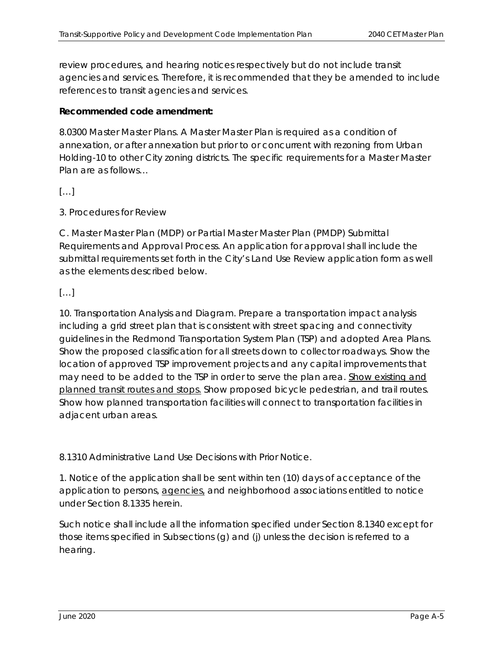review procedures, and hearing notices respectively but do not include transit agencies and services. Therefore, it is recommended that they be amended to include references to transit agencies and services.

# **Recommended code amendment:**

8.0300 Master Master Plans. A Master Master Plan is required as a condition of annexation, or after annexation but prior to or concurrent with rezoning from Urban Holding-10 to other City zoning districts. The specific requirements for a Master Master Plan are as follows…

# $[\ldots]$

3. Procedures for Review

C. Master Master Plan (MDP) or Partial Master Master Plan (PMDP) Submittal Requirements and Approval Process. An application for approval shall include the submittal requirements set forth in the City's Land Use Review application form as well as the elements described below.

# $[...]$

10. Transportation Analysis and Diagram. Prepare a transportation impact analysis including a grid street plan that is consistent with street spacing and connectivity guidelines in the *Redmond Transportation System Plan* (TSP) and adopted Area Plans. Show the proposed classification for all streets down to collector roadways. Show the location of approved TSP improvement projects and any capital improvements that may need to be added to the TSP in order to serve the plan area. Show existing and planned transit routes and stops. Show proposed bicycle pedestrian, and trail routes. Show how planned transportation facilities will connect to transportation facilities in adjacent urban areas.

8.1310 Administrative Land Use Decisions with Prior Notice.

1. Notice of the application shall be sent within ten (10) days of acceptance of the application to persons, agencies, and neighborhood associations entitled to notice under Section 8.1335 herein.

Such notice shall include all the information specified under Section 8.1340 except for those items specified in Subsections (g) and (j) unless the decision is referred to a hearing.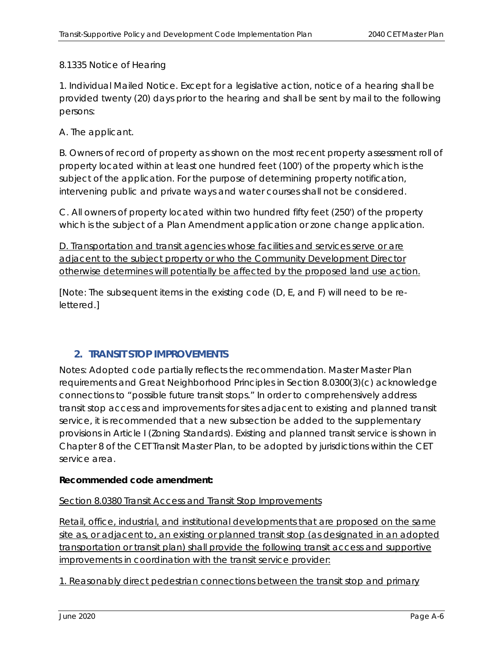# 8.1335 Notice of Hearing

1. Individual Mailed Notice. Except for a legislative action, notice of a hearing shall be provided twenty (20) days prior to the hearing and shall be sent by mail to the following persons:

A. The applicant.

B. Owners of record of property as shown on the most recent property assessment roll of property located within at least one hundred feet (100') of the property which is the subject of the application. For the purpose of determining property notification, intervening public and private ways and water courses shall not be considered.

C. All owners of property located within two hundred fifty feet (250') of the property which is the subject of a Plan Amendment application or zone change application.

D. Transportation and transit agencies whose facilities and services serve or are adjacent to the subject property or who the Community Development Director otherwise determines will potentially be affected by the proposed land use action.

[Note: The subsequent items in the existing code (D, E, and F) will need to be relettered.]

# **2. TRANSIT STOP IMPROVEMENTS**

Notes: Adopted code partially reflects the recommendation. Master Master Plan requirements and Great Neighborhood Principles in Section 8.0300(3)(c) acknowledge connections to "possible future transit stops." In order to comprehensively address transit stop access and improvements for sites adjacent to existing and planned transit service, it is recommended that a new subsection be added to the supplementary provisions in Article I (Zoning Standards). Existing and planned transit service is shown in Chapter 8 of the CET Transit Master Plan, to be adopted by jurisdictions within the CET service area.

# **Recommended code amendment:**

# Section 8.0380 Transit Access and Transit Stop Improvements

Retail, office, industrial, and institutional developments that are proposed on the same site as, or adjacent to, an existing or planned transit stop (as designated in an adopted transportation or transit plan) shall provide the following transit access and supportive improvements in coordination with the transit service provider:

1. Reasonably direct pedestrian connections between the transit stop and primary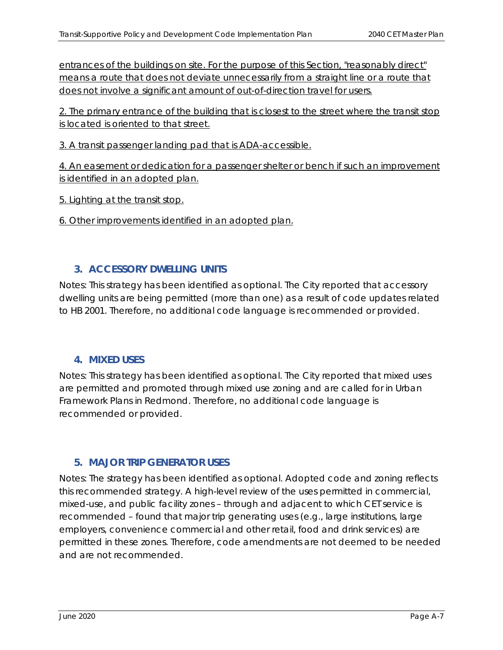entrances of the buildings on site. For the purpose of this Section, "reasonably direct" means a route that does not deviate unnecessarily from a straight line or a route that does not involve a significant amount of out-of-direction travel for users.

2. The primary entrance of the building that is closest to the street where the transit stop is located is oriented to that street.

3. A transit passenger landing pad that is ADA-accessible.

4. An easement or dedication for a passenger shelter or bench if such an improvement is identified in an adopted plan.

5. Lighting at the transit stop.

6. Other improvements identified in an adopted plan.

# **3. ACCESSORY DWELLING UNITS**

Notes: This strategy has been identified as optional. The City reported that accessory dwelling units are being permitted (more than one) as a result of code updates related to HB 2001. Therefore, no additional code language is recommended or provided.

# **4. MIXED USES**

Notes: This strategy has been identified as optional. The City reported that mixed uses are permitted and promoted through mixed use zoning and are called for in Urban Framework Plans in Redmond. Therefore, no additional code language is recommended or provided.

# **5. MAJOR TRIP GENERATOR USES**

Notes: The strategy has been identified as optional. Adopted code and zoning reflects this recommended strategy. A high-level review of the uses permitted in commercial, mixed-use, and public facility zones – through and adjacent to which CET service is recommended – found that major trip generating uses (e.g., large institutions, large employers, convenience commercial and other retail, food and drink services) are permitted in these zones. Therefore, code amendments are not deemed to be needed and are not recommended.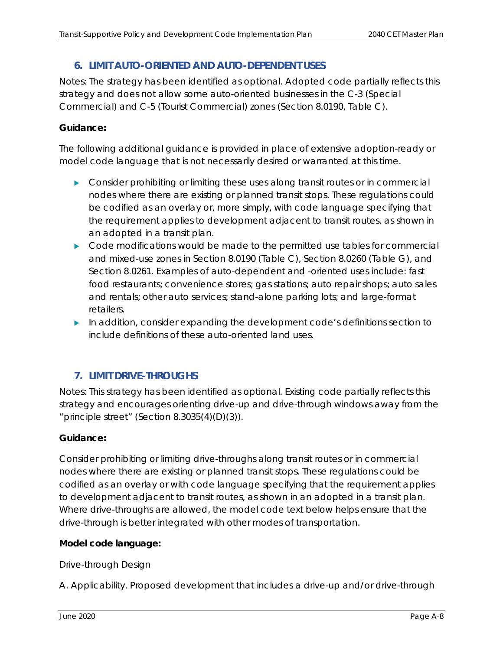# **6. LIMIT AUTO-ORIENTED AND AUTO-DEPENDENT USES**

Notes: The strategy has been identified as optional. Adopted code partially reflects this strategy and does not allow some auto-oriented businesses in the C-3 (Special Commercial) and C-5 (Tourist Commercial) zones (Section 8.0190, Table C).

# **Guidance:**

The following additional guidance is provided in place of extensive adoption-ready or model code language that is not necessarily desired or warranted at this time.

- **Consider prohibiting or limiting these uses along transit routes or in commercial** nodes where there are existing or planned transit stops. These regulations could be codified as an overlay or, more simply, with code language specifying that the requirement applies to development adjacent to transit routes, as shown in an adopted in a transit plan.
- $\triangleright$  Code modifications would be made to the permitted use tables for commercial and mixed-use zones in Section 8.0190 (Table C), Section 8.0260 (Table G), and Section 8.0261. Examples of auto-dependent and -oriented uses include: fast food restaurants; convenience stores; gas stations; auto repair shops; auto sales and rentals; other auto services; stand-alone parking lots; and large-format retailers.
- In addition, consider expanding the development code's definitions section to include definitions of these auto-oriented land uses.

# **7. LIMIT DRIVE-THROUGHS**

Notes: This strategy has been identified as optional. Existing code partially reflects this strategy and encourages orienting drive-up and drive-through windows away from the "principle street" (Section 8.3035(4)(D)(3)).

# **Guidance:**

Consider prohibiting or limiting drive-throughs along transit routes or in commercial nodes where there are existing or planned transit stops. These regulations could be codified as an overlay or with code language specifying that the requirement applies to development adjacent to transit routes, as shown in an adopted in a transit plan. Where drive-throughs are allowed, the model code text below helps ensure that the drive-through is better integrated with other modes of transportation.

# **Model code language:**

# *Drive-through Design*

*A. Applicability. Proposed development that includes a drive-up and/or drive-through*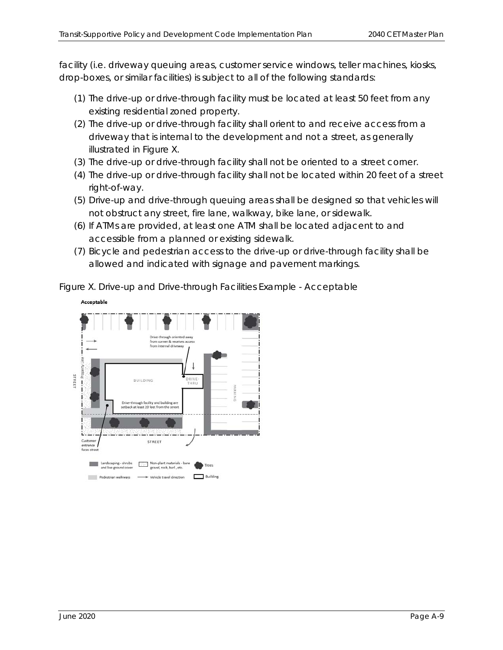*facility (i.e. driveway queuing areas, customer service windows, teller machines, kiosks, drop-boxes, or similar facilities) is subject to all of the following standards:* 

- *(1) The drive-up or drive-through facility must be located at least 50 feet from any existing residential zoned property.*
- *(2) The drive-up or drive-through facility shall orient to and receive access from a driveway that is internal to the development and not a street, as generally illustrated in Figure X.*
- *(3) The drive-up or drive-through facility shall not be oriented to a street corner.*
- *(4) The drive-up or drive-through facility shall not be located within 20 feet of a street right-of-way.*
- *(5) Drive-up and drive-through queuing areas shall be designed so that vehicles will not obstruct any street, fire lane, walkway, bike lane, or sidewalk.*
- *(6) If ATMs are provided, at least one ATM shall be located adjacent to and accessible from a planned or existing sidewalk.*
- *(7) Bicycle and pedestrian access to the drive-up or drive-through facility shall be allowed and indicated with signage and pavement markings.*

*Figure X. Drive-up and Drive-through Facilities Example - Acceptable* 

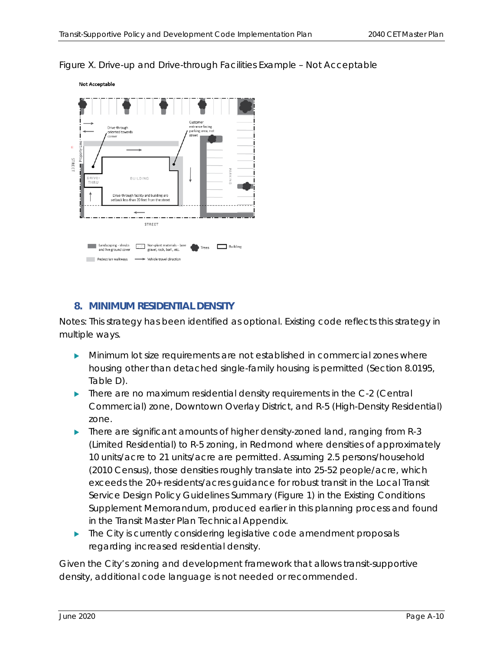

*Figure X. Drive-up and Drive-through Facilities Example – Not Acceptable* 

# **8. MINIMUM RESIDENTIAL DENSITY**

Notes: This strategy has been identified as optional. Existing code reflects this strategy in multiple ways.

- Minimum lot size requirements are not established in commercial zones where housing other than detached single-family housing is permitted (Section 8.0195, Table D).
- **There are no maximum residential density requirements in the C-2 (Central** Commercial) zone, Downtown Overlay District, and R-5 (High-Density Residential) zone.
- $\blacktriangleright$  There are significant amounts of higher density-zoned land, ranging from R-3 (Limited Residential) to R-5 zoning, in Redmond where densities of approximately 10 units/acre to 21 units/acre are permitted. Assuming 2.5 persons/household (2010 Census), those densities roughly translate into 25-52 people/acre, which exceeds the 20+ residents/acres guidance for robust transit in the Local Transit Service Design Policy Guidelines Summary (Figure 1) in the Existing Conditions Supplement Memorandum, produced earlier in this planning process and found in the Transit Master Plan Technical Appendix.
- $\blacktriangleright$  The City is currently considering legislative code amendment proposals regarding increased residential density.

Given the City's zoning and development framework that allows transit-supportive density, additional code language is not needed or recommended.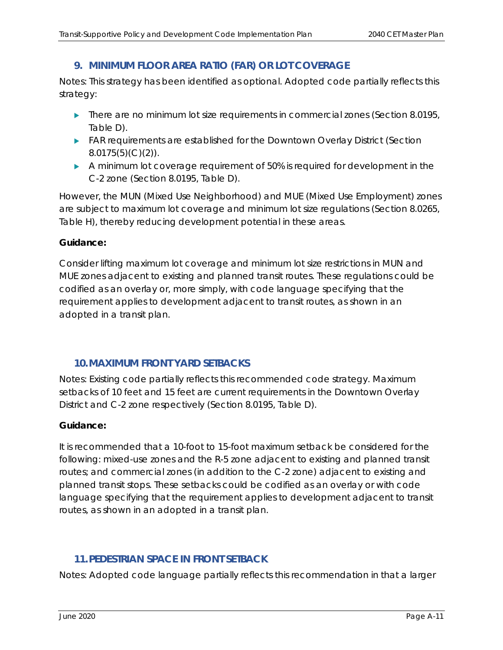# **9. MINIMUM FLOOR AREA RATIO (FAR) OR LOT COVERAGE**

Notes: This strategy has been identified as optional. Adopted code partially reflects this strategy:

- $\blacktriangleright$  There are no minimum lot size requirements in commercial zones (Section 8.0195, Table D).
- FAR requirements are established for the Downtown Overlay District (Section  $8.0175(5)(C)(2)$ ).
- A minimum lot coverage requirement of 50% is required for development in the C-2 zone (Section 8.0195, Table D).

However, the MUN (Mixed Use Neighborhood) and MUE (Mixed Use Employment) zones are subject to maximum lot coverage and minimum lot size regulations (Section 8.0265, Table H), thereby reducing development potential in these areas.

# **Guidance:**

Consider lifting maximum lot coverage and minimum lot size restrictions in MUN and MUE zones adjacent to existing and planned transit routes. These regulations could be codified as an overlay or, more simply, with code language specifying that the requirement applies to development adjacent to transit routes, as shown in an adopted in a transit plan.

# **10.MAXIMUM FRONT YARD SETBACKS**

Notes: Existing code partially reflects this recommended code strategy. Maximum setbacks of 10 feet and 15 feet are current requirements in the Downtown Overlay District and C-2 zone respectively (Section 8.0195, Table D).

#### **Guidance:**

It is recommended that a 10-foot to 15-foot maximum setback be considered for the following: mixed-use zones and the R-5 zone adjacent to existing and planned transit routes; and commercial zones (in addition to the C-2 zone) adjacent to existing and planned transit stops. These setbacks could be codified as an overlay or with code language specifying that the requirement applies to development adjacent to transit routes, as shown in an adopted in a transit plan.

# **11.PEDESTRIAN SPACE IN FRONT SETBACK**

Notes: Adopted code language partially reflects this recommendation in that a larger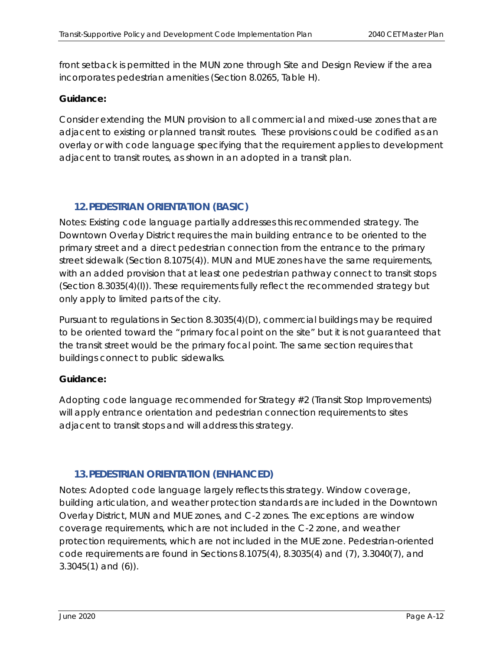front setback is permitted in the MUN zone through Site and Design Review if the area incorporates pedestrian amenities (Section 8.0265, Table H).

# **Guidance:**

Consider extending the MUN provision to all commercial and mixed-use zones that are adjacent to existing or planned transit routes. These provisions could be codified as an overlay or with code language specifying that the requirement applies to development adjacent to transit routes, as shown in an adopted in a transit plan.

# **12.PEDESTRIAN ORIENTATION (BASIC)**

Notes: Existing code language partially addresses this recommended strategy. The Downtown Overlay District requires the main building entrance to be oriented to the primary street and a direct pedestrian connection from the entrance to the primary street sidewalk (Section 8.1075(4)). MUN and MUE zones have the same requirements, with an added provision that at least one pedestrian pathway connect to transit stops (Section 8.3035(4)(I)). These requirements fully reflect the recommended strategy but only apply to limited parts of the city.

Pursuant to regulations in Section 8.3035(4)(D), commercial buildings may be required to be oriented toward the "primary focal point on the site" but it is not guaranteed that the transit street would be the primary focal point. The same section requires that buildings connect to public sidewalks.

# **Guidance:**

Adopting code language recommended for Strategy #2 (Transit Stop Improvements) will apply entrance orientation and pedestrian connection requirements to sites adjacent to transit stops and will address this strategy.

# **13.PEDESTRIAN ORIENTATION (ENHANCED)**

Notes: Adopted code language largely reflects this strategy. Window coverage, building articulation, and weather protection standards are included in the Downtown Overlay District, MUN and MUE zones, and C-2 zones. The exceptions are window coverage requirements, which are not included in the C-2 zone, and weather protection requirements, which are not included in the MUE zone. Pedestrian-oriented code requirements are found in Sections 8.1075(4), 8.3035(4) and (7), 3.3040(7), and 3.3045(1) and (6)).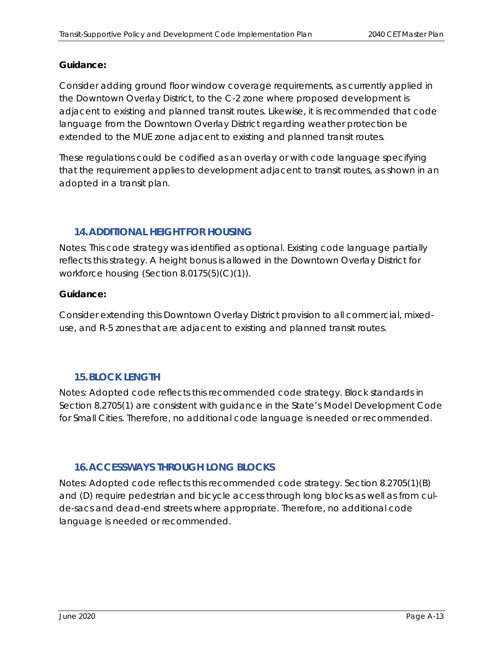#### **Guidance:**

Consider adding ground floor window coverage requirements, as currently applied in the Downtown Overlay District, to the C-2 zone where proposed development is adjacent to existing and planned transit routes. Likewise, it is recommended that code language from the Downtown Overlay District regarding weather protection be extended to the MUE zone adjacent to existing and planned transit routes.

These regulations could be codified as an overlay or with code language specifying that the requirement applies to development adjacent to transit routes, as shown in an adopted in a transit plan.

# **14.ADDITIONAL HEIGHT FOR HOUSING**

Notes: This code strategy was identified as optional. Existing code language partially reflects this strategy. A height bonus is allowed in the Downtown Overlay District for workforce housing (Section 8.0175(5)(C)(1)).

#### **Guidance:**

Consider extending this Downtown Overlay District provision to all commercial, mixeduse, and R-5 zones that are adjacent to existing and planned transit routes.

# **15.BLOCK LENGTH**

Notes: Adopted code reflects this recommended code strategy. Block standards in Section 8.2705(1) are consistent with guidance in the State's Model Development Code for Small Cities. Therefore, no additional code language is needed or recommended.

# **16.ACCESSWAYS THROUGH LONG BLOCKS**

Notes: Adopted code reflects this recommended code strategy. Section 8.2705(1)(B) and (D) require pedestrian and bicycle access through long blocks as well as from culde-sacs and dead-end streets where appropriate. Therefore, no additional code language is needed or recommended.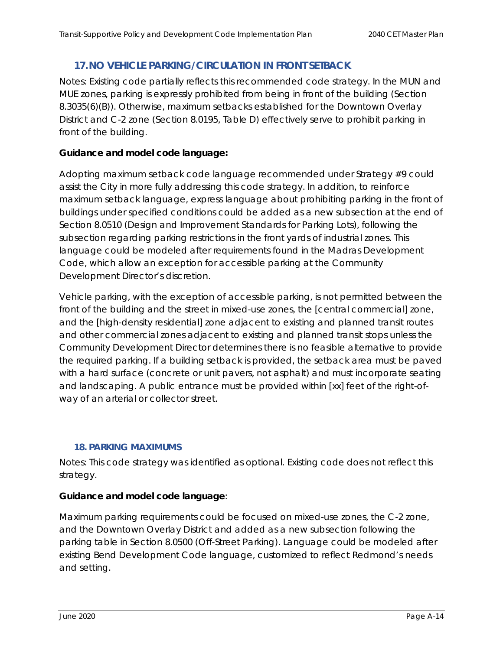# **17.NO VEHICLE PARKING/CIRCULATION IN FRONT SETBACK**

Notes: Existing code partially reflects this recommended code strategy. In the MUN and MUE zones, parking is expressly prohibited from being in front of the building (Section 8.3035(6)(B)). Otherwise, maximum setbacks established for the Downtown Overlay District and C-2 zone (Section 8.0195, Table D) effectively serve to prohibit parking in front of the building.

# **Guidance and model code language:**

Adopting maximum setback code language recommended under Strategy #9 could assist the City in more fully addressing this code strategy. In addition, to reinforce maximum setback language, express language about prohibiting parking in the front of buildings under specified conditions could be added as a new subsection at the end of Section 8.0510 (Design and Improvement Standards for Parking Lots), following the subsection regarding parking restrictions in the front yards of industrial zones. This language could be modeled after requirements found in the Madras Development Code, which allow an exception for accessible parking at the Community Development Director's discretion.

*Vehicle parking, with the exception of accessible parking, is not permitted between the front of the building and the street in mixed-use zones, the [central commercial] zone, and the [high-density residential] zone adjacent to existing and planned transit routes and other commercial zones adjacent to existing and planned transit stops unless the Community Development Director determines there is no feasible alternative to provide the required parking. If a building setback is provided, the setback area must be paved with a hard surface (concrete or unit pavers, not asphalt) and must incorporate seating and landscaping. A public entrance must be provided within [xx] feet of the right-ofway of an arterial or collector street.* 

# **18. PARKING MAXIMUMS**

Notes: This code strategy was identified as optional. Existing code does not reflect this strategy.

# **Guidance and model code language**:

Maximum parking requirements could be focused on mixed-use zones, the C-2 zone, and the Downtown Overlay District and added as a new subsection following the parking table in Section 8.0500 (Off-Street Parking). Language could be modeled after existing Bend Development Code language, customized to reflect Redmond's needs and setting.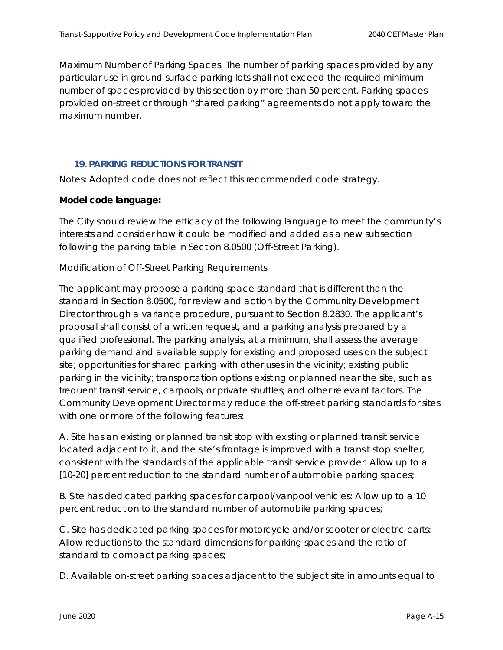*Maximum Number of Parking Spaces. The number of parking spaces provided by any particular use in ground surface parking lots shall not exceed the required minimum number of spaces provided by this section by more than 50 percent. Parking spaces provided on-street or through "shared parking" agreements do not apply toward the maximum number.* 

#### **19. PARKING REDUCTIONS FOR TRANSIT**

Notes: Adopted code does not reflect this recommended code strategy.

#### **Model code language:**

The City should review the efficacy of the following language to meet the community's interests and consider how it could be modified and added as a new subsection following the parking table in Section 8.0500 (Off-Street Parking).

#### *Modification of Off-Street Parking Requirements*

*The applicant may propose a parking space standard that is different than the standard in Section 8.0500, for review and action by the Community Development Director through a variance procedure, pursuant to Section 8.2830. The applicant's proposal shall consist of a written request, and a parking analysis prepared by a qualified professional. The parking analysis, at a minimum, shall assess the average parking demand and available supply for existing and proposed uses on the subject site; opportunities for shared parking with other uses in the vicinity; existing public parking in the vicinity; transportation options existing or planned near the site, such as frequent transit service, carpools, or private shuttles; and other relevant factors. The Community Development Director may reduce the off-street parking standards for sites with one or more of the following features:* 

*A. Site has an existing or planned transit stop with existing or planned transit service located adjacent to it, and the site's frontage is improved with a transit stop shelter, consistent with the standards of the applicable transit service provider. Allow up to a [10-20] percent reduction to the standard number of automobile parking spaces;* 

*B. Site has dedicated parking spaces for carpool/vanpool vehicles: Allow up to a 10 percent reduction to the standard number of automobile parking spaces;* 

*C. Site has dedicated parking spaces for motorcycle and/or scooter or electric carts: Allow reductions to the standard dimensions for parking spaces and the ratio of standard to compact parking spaces;* 

*D. Available on-street parking spaces adjacent to the subject site in amounts equal to*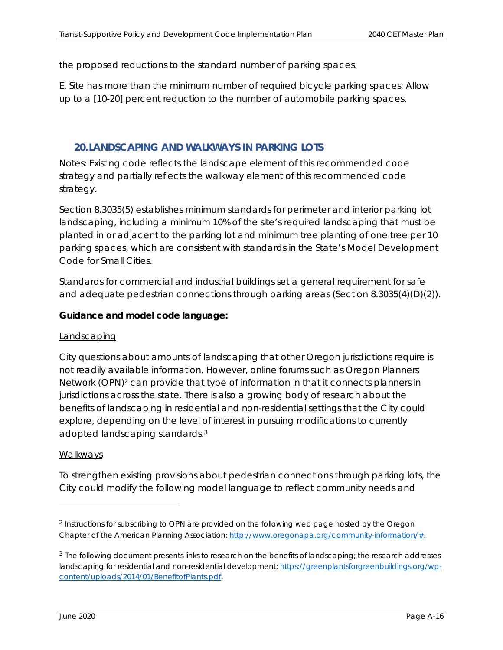*the proposed reductions to the standard number of parking spaces.* 

*E. Site has more than the minimum number of required bicycle parking spaces: Allow up to a [10-20] percent reduction to the number of automobile parking spaces.* 

#### **20.LANDSCAPING AND WALKWAYS IN PARKING LOTS**

Notes: Existing code reflects the landscape element of this recommended code strategy and partially reflects the walkway element of this recommended code strategy.

Section 8.3035(5) establishes minimum standards for perimeter and interior parking lot landscaping, including a minimum 10% of the site's required landscaping that must be planted in or adjacent to the parking lot and minimum tree planting of one tree per 10 parking spaces, which are consistent with standards in the State's Model Development Code for Small Cities.

Standards for commercial and industrial buildings set a general requirement for safe and adequate pedestrian connections through parking areas (Section 8.3035(4)(D)(2)).

#### **Guidance and model code language:**

#### Landscaping

City questions about amounts of landscaping that other Oregon jurisdictions require is not readily available information. However, online forums such as Oregon Planners Network (OPN)2 can provide that type of information in that it connects planners in jurisdictions across the state. There is also a growing body of research about the benefits of landscaping in residential and non-residential settings that the City could explore, depending on the level of interest in pursuing modifications to currently adopted landscaping standards.3

#### Walkways

To strengthen existing provisions about pedestrian connections through parking lots, the City could modify the following model language to reflect community needs and

<sup>&</sup>lt;sup>2</sup> Instructions for subscribing to OPN are provided on the following web page hosted by the Oregon Chapter of the American Planning Association: http://www.oregonapa.org/community-information/#.

<sup>&</sup>lt;sup>3</sup> The following document presents links to research on the benefits of landscaping; the research addresses landscaping for residential and non-residential development: https://greenplantsforgreenbuildings.org/wpcontent/uploads/2014/01/BenefitofPlants.pdf.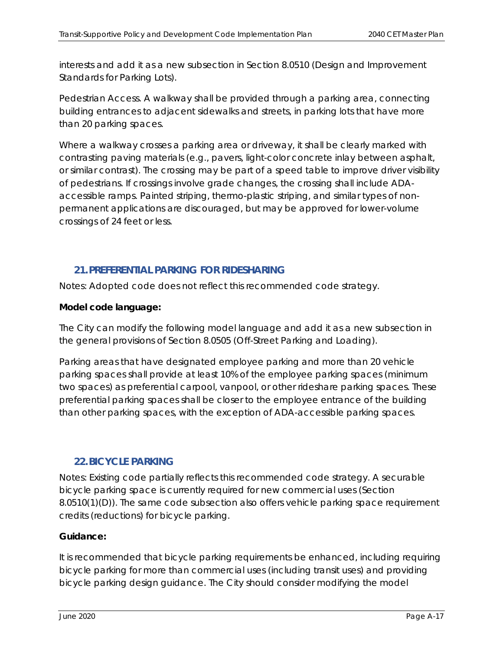interests and add it as a new subsection in Section 8.0510 (Design and Improvement Standards for Parking Lots).

Pedestrian Access. A walkway shall be provided through a parking area, connecting *building entrances to adjacent sidewalks and streets, in parking lots that have more than 20 parking spaces.* 

*Where a walkway crosses a parking area or driveway, it shall be clearly marked with contrasting paving materials (e.g., pavers, light-color concrete inlay between asphalt, or similar contrast). The crossing may be part of a speed table to improve driver visibility of pedestrians. If crossings involve grade changes, the crossing shall include ADAaccessible ramps. Painted striping, thermo-plastic striping, and similar types of nonpermanent applications are discouraged, but may be approved for lower-volume crossings of 24 feet or less.* 

# **21.PREFERENTIAL PARKING FOR RIDESHARING**

Notes: Adopted code does not reflect this recommended code strategy.

# **Model code language:**

The City can modify the following model language and add it as a new subsection in the general provisions of Section 8.0505 (Off-Street Parking and Loading).

*Parking areas that have designated employee parking and more than 20 vehicle parking spaces shall provide at least 10% of the employee parking spaces (minimum two spaces) as preferential carpool, vanpool, or other rideshare parking spaces. These preferential parking spaces shall be closer to the employee entrance of the building than other parking spaces, with the exception of ADA-accessible parking spaces.* 

# **22.BICYCLE PARKING**

Notes: Existing code partially reflects this recommended code strategy. A securable bicycle parking space is currently required for new commercial uses (Section 8.0510(1)(D)). The same code subsection also offers vehicle parking space requirement credits (reductions) for bicycle parking.

# **Guidance:**

It is recommended that bicycle parking requirements be enhanced, including requiring bicycle parking for more than commercial uses (including transit uses) and providing bicycle parking design guidance. The City should consider modifying the model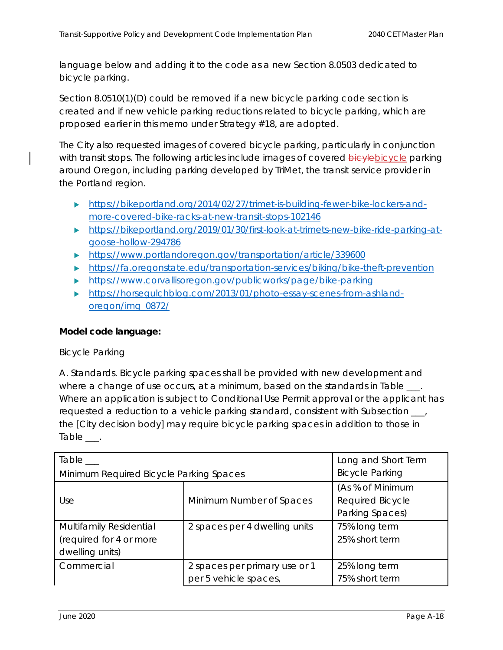language below and adding it to the code as a new Section 8.0503 dedicated to bicycle parking.

Section 8.0510(1)(D) could be removed if a new bicycle parking code section is created and if new vehicle parking reductions related to bicycle parking, which are proposed earlier in this memo under Strategy #18, are adopted.

The City also requested images of covered bicycle parking, particularly in conjunction with transit stops. The following articles include images of covered bicylebicycle parking around Oregon, including parking developed by TriMet, the transit service provider in the Portland region.

- https://bikeportland.org/2014/02/27/trimet-is-building-fewer-bike-lockers-andmore-covered-bike-racks-at-new-transit-stops-102146
- https://bikeportland.org/2019/01/30/first-look-at-trimets-new-bike-ride-parking-atgoose-hollow-294786
- https://www.portlandoregon.gov/transportation/article/339600
- https://fa.oregonstate.edu/transportation-services/biking/bike-theft-prevention
- https://www.corvallisoregon.gov/publicworks/page/bike-parking
- https://horsegulchblog.com/2013/01/photo-essay-scenes-from-ashlandoregon/img\_0872/

# **Model code language:**

# *Bicycle Parking*

*A. Standards. Bicycle parking spaces shall be provided with new development and where a change of use occurs, at a minimum, based on the standards in Table \_\_\_. Where an application is subject to Conditional Use Permit approval or the applicant has requested a reduction to a vehicle parking standard, consistent with Subsection \_\_\_, the [City decision body] may require bicycle parking spaces in addition to those in Table \_\_\_.* 

| Table ___                               | Long and Short Term           |                         |
|-----------------------------------------|-------------------------------|-------------------------|
| Minimum Required Bicycle Parking Spaces | <b>Bicycle Parking</b>        |                         |
|                                         |                               | (As % of Minimum        |
| Use                                     | Minimum Number of Spaces      | <b>Required Bicycle</b> |
|                                         |                               | Parking Spaces)         |
| Multifamily Residential                 | 2 spaces per 4 dwelling units | 75% long term           |
| (required for 4 or more                 |                               | 25% short term          |
| dwelling units)                         |                               |                         |
| Commercial                              | 2 spaces per primary use or 1 | 25% long term           |
|                                         | per 5 vehicle spaces,         | 75% short term          |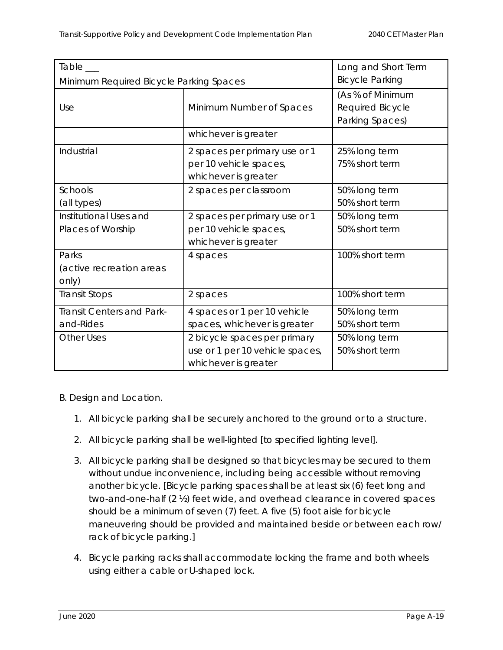| Table                                       | Long and Short Term                                                                     |                                                         |
|---------------------------------------------|-----------------------------------------------------------------------------------------|---------------------------------------------------------|
| Minimum Required Bicycle Parking Spaces     | <b>Bicycle Parking</b>                                                                  |                                                         |
| Use                                         | Minimum Number of Spaces                                                                | (As % of Minimum<br>Required Bicycle<br>Parking Spaces) |
|                                             | whichever is greater                                                                    |                                                         |
| <i><u><b>Industrial</b></u></i>             | 2 spaces per primary use or 1<br>per 10 vehicle spaces,<br>whichever is greater         | 25% long term<br>75% short term                         |
| <b>Schools</b><br>(all types)               | 2 spaces per classroom                                                                  | 50% long term<br>50% short term                         |
| Institutional Uses and<br>Places of Worship | 2 spaces per primary use or 1<br>per 10 vehicle spaces,<br>whichever is greater         | 50% long term<br>50% short term                         |
| Parks<br>(active recreation areas<br>only)  | 4 spaces                                                                                | 100% short term                                         |
| Transit Stops                               | 2 spaces                                                                                | 100% short term                                         |
| Transit Centers and Park-<br>and-Rides      | 4 spaces or 1 per 10 vehicle<br>spaces, whichever is greater                            | 50% long term<br>50% short term                         |
| <b>Other Uses</b>                           | 2 bicycle spaces per primary<br>use or 1 per 10 vehicle spaces,<br>whichever is greater | 50% long term<br>50% short term                         |

# *B. Design and Location.*

- *1. All bicycle parking shall be securely anchored to the ground or to a structure.*
- *2. All bicycle parking shall be well-lighted [to specified lighting level].*
- *3. All bicycle parking shall be designed so that bicycles may be secured to them without undue inconvenience, including being accessible without removing another bicycle. [Bicycle parking spaces shall be at least six (6) feet long and two-and-one-half (2 ½) feet wide, and overhead clearance in covered spaces should be a minimum of seven (7) feet. A five (5) foot aisle for bicycle maneuvering should be provided and maintained beside or between each row/ rack of bicycle parking.]*
- *4. Bicycle parking racks shall accommodate locking the frame and both wheels using either a cable or U-shaped lock.*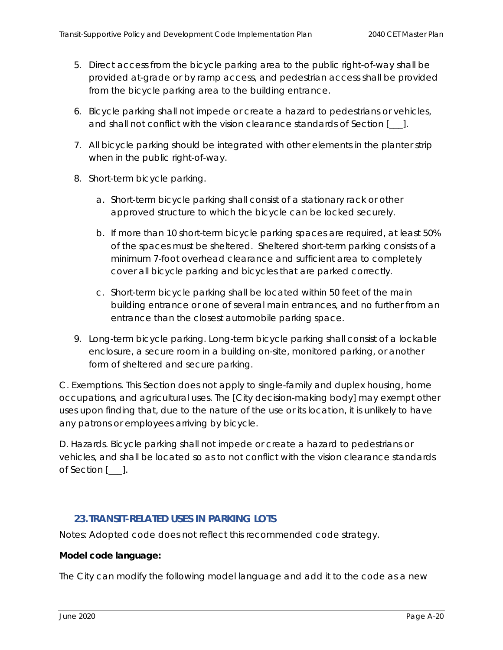- *5. Direct access from the bicycle parking area to the public right-of-way shall be provided at-grade or by ramp access, and pedestrian access shall be provided from the bicycle parking area to the building entrance.*
- *6. Bicycle parking shall not impede or create a hazard to pedestrians or vehicles, and shall not conflict with the vision clearance standards of Section [\_\_\_].*
- *7. All bicycle parking should be integrated with other elements in the planter strip when in the public right-of-way.*
- *8. Short-term bicycle parking.* 
	- *a. Short-term bicycle parking shall consist of a stationary rack or other approved structure to which the bicycle can be locked securely.*
	- *b. If more than 10 short-term bicycle parking spaces are required, at least 50% of the spaces must be sheltered. Sheltered short-term parking consists of a minimum 7-foot overhead clearance and sufficient area to completely cover all bicycle parking and bicycles that are parked correctly.*
	- *c. Short-term bicycle parking shall be located within 50 feet of the main building entrance or one of several main entrances, and no further from an entrance than the closest automobile parking space.*
- *9. Long-term bicycle parking. Long-term bicycle parking shall consist of a lockable enclosure, a secure room in a building on-site, monitored parking, or another form of sheltered and secure parking.*

*C. Exemptions. This Section does not apply to single-family and duplex housing, home occupations, and agricultural uses. The [City decision-making body] may exempt other uses upon finding that, due to the nature of the use or its location, it is unlikely to have any patrons or employees arriving by bicycle.* 

*D. Hazards. Bicycle parking shall not impede or create a hazard to pedestrians or vehicles, and shall be located so as to not conflict with the vision clearance standards of Section [\_\_\_].* 

# **23.TRANSIT-RELATED USES IN PARKING LOTS**

Notes: Adopted code does not reflect this recommended code strategy.

#### **Model code language:**

The City can modify the following model language and add it to the code as a new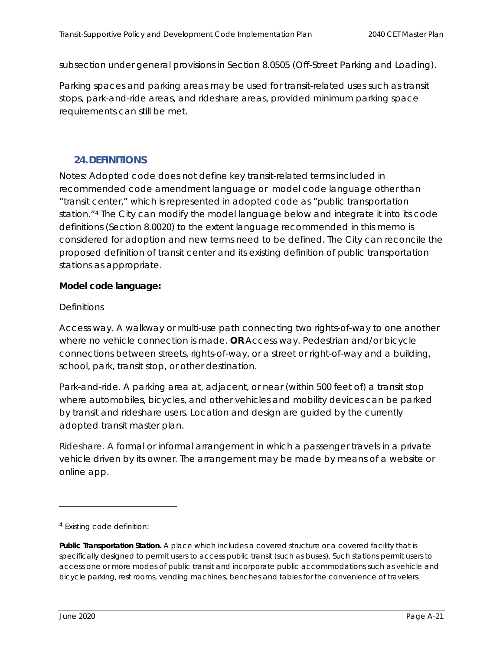subsection under general provisions in Section 8.0505 (Off-Street Parking and Loading).

*Parking spaces and parking areas may be used for transit-related uses such as transit stops, park-and-ride areas, and rideshare areas, provided minimum parking space requirements can still be met.* 

# **24.DEFINITIONS**

Notes: Adopted code does not define key transit-related terms included in recommended code amendment language or model code language other than "transit center," which is represented in adopted code as "public transportation station."4 The City can modify the model language below and integrate it into its code definitions (Section 8.0020) to the extent language recommended in this memo is considered for adoption and new terms need to be defined. The City can reconcile the proposed definition of transit center and its existing definition of public transportation stations as appropriate.

#### **Model code language:**

#### *Definitions*

*Access way. A walkway or multi-use path connecting two rights-of-way to one another where no vehicle connection is made. OR Access way. Pedestrian and/or bicycle connections between streets, rights-of-way, or a street or right-of-way and a building, school, park, transit stop, or other destination.* 

*Park-and-ride. A parking area at, adjacent, or near (within 500 feet of) a transit stop where automobiles, bicycles, and other vehicles and mobility devices can be parked by transit and rideshare users. Location and design are guided by the currently adopted transit master plan.* 

*Rideshare. A formal or informal arrangement in which a passenger travels in a private vehicle driven by its owner. The arrangement may be made by means of a website or online app.* 

<sup>4</sup> Existing code definition:

*Public Transportation Station. A place which includes a covered structure or a covered facility that is specifically designed to permit users to access public transit (such as buses). Such stations permit users to access one or more modes of public transit and incorporate public accommodations such as vehicle and bicycle parking, rest rooms, vending machines, benches and tables for the convenience of travelers.*